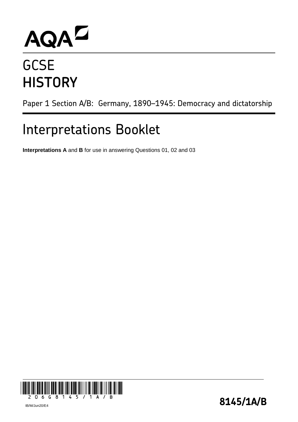# AQAD

## **GCSE HISTORY**

Paper 1 Section A/B: Germany, 1890–1945: Democracy and dictatorship

### Interpretations Booklet

**Interpretations A** and **B** for use in answering Questions 01, 02 and 03